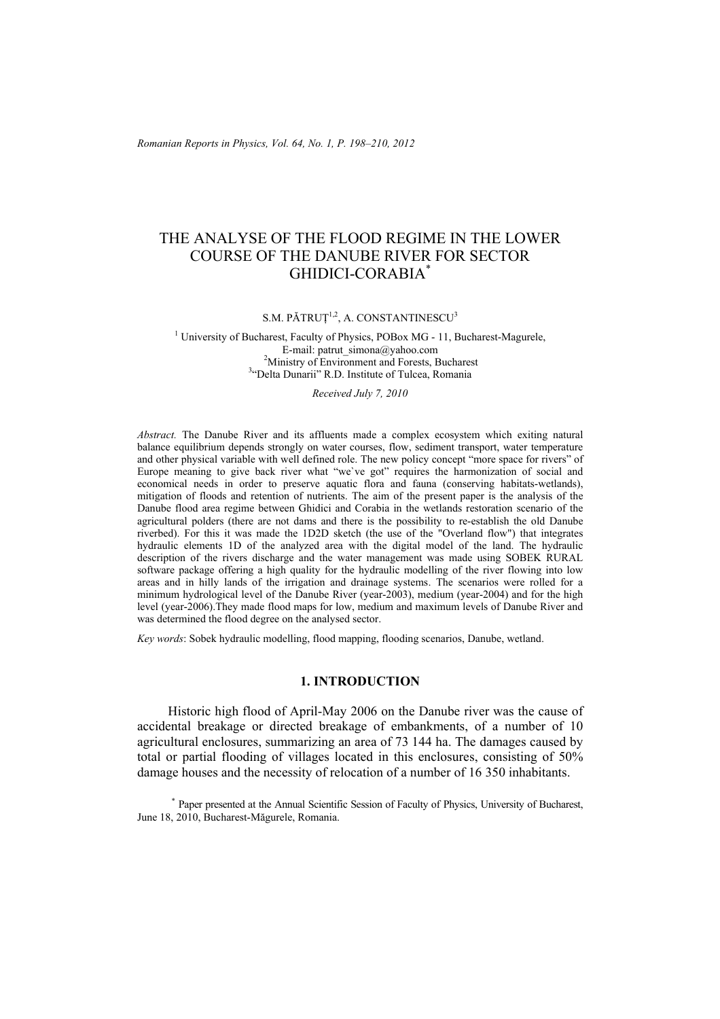*Romanian Reports in Physics, Vol. 64, No. 1, P. 198–210, 2012*

# THE ANALYSE OF THE FLOOD REGIME IN THE LOWER COURSE OF THE DANUBE RIVER FOR SECTOR GHIDICI-CORABIA\*

S.M. PĂTRUȚ<sup>1,2</sup>, A. CONSTANTINESCU<sup>3</sup>

<sup>1</sup> University of Bucharest, Faculty of Physics, POBox MG - 11, Bucharest-Magurele, E-mail: patrut\_simona@yahoo.com  $2^2$ Ministry of Environment and Forests, Bucharest <sup>3</sup>"Delta Dunarii" R.D. Institute of Tulcea, Romania

*Received July 7, 2010*

*Abstract.* The Danube River and its affluents made a complex ecosystem which exiting natural balance equilibrium depends strongly on water courses, flow, sediment transport, water temperature and other physical variable with well defined role. The new policy concept "more space for rivers" of Europe meaning to give back river what "we`ve got" requires the harmonization of social and economical needs in order to preserve aquatic flora and fauna (conserving habitats-wetlands), mitigation of floods and retention of nutrients. The aim of the present paper is the analysis of the Danube flood area regime between Ghidici and Corabia in the wetlands restoration scenario of the agricultural polders (there are not dams and there is the possibility to re-establish the old Danube riverbed). For this it was made the 1D2D sketch (the use of the "Overland flow") that integrates hydraulic elements 1D of the analyzed area with the digital model of the land. The hydraulic description of the rivers discharge and the water management was made using SOBEK RURAL software package offering a high quality for the hydraulic modelling of the river flowing into low areas and in hilly lands of the irrigation and drainage systems. The scenarios were rolled for a minimum hydrological level of the Danube River (year-2003), medium (year-2004) and for the high level (year-2006).They made flood maps for low, medium and maximum levels of Danube River and was determined the flood degree on the analysed sector.

*Key words*: Sobek hydraulic modelling, flood mapping, flooding scenarios, Danube, wetland.

### **1. INTRODUCTION**

Historic high flood of April-May 2006 on the Danube river was the cause of accidental breakage or directed breakage of embankments, of a number of 10 agricultural enclosures, summarizing an area of 73 144 ha. The damages caused by total or partial flooding of villages located in this enclosures, consisting of 50% damage houses and the necessity of relocation of a number of 16 350 inhabitants.

\* Paper presented at the Annual Scientific Session of Faculty of Physics, University of Bucharest, June 18, 2010, Bucharest-Măgurele, Romania.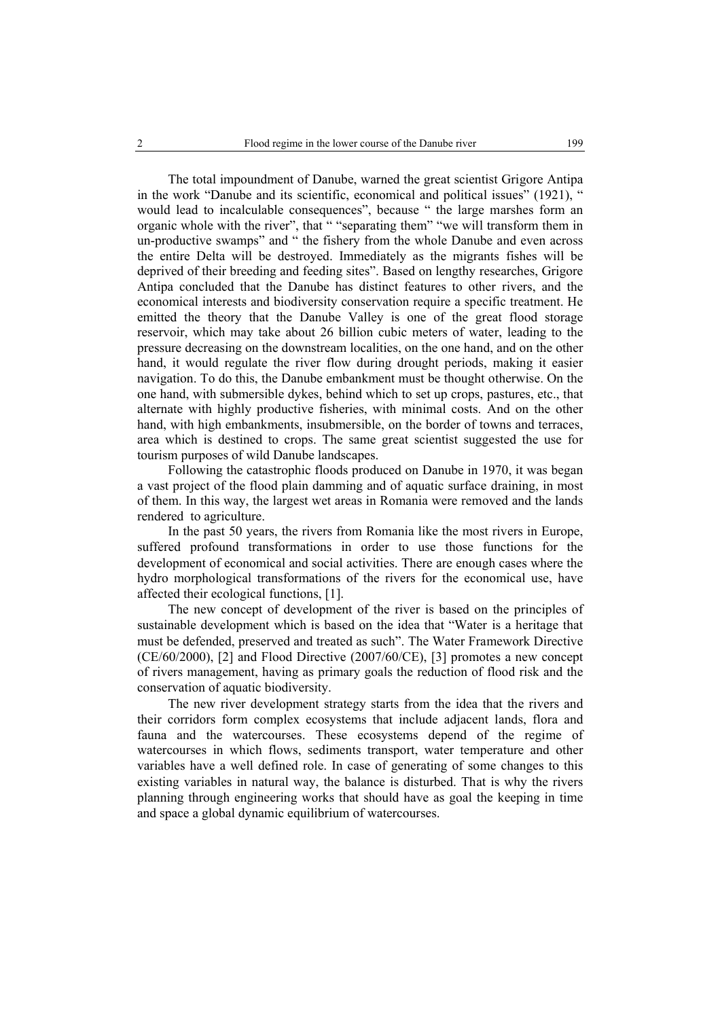The total impoundment of Danube, warned the great scientist Grigore Antipa in the work "Danube and its scientific, economical and political issues" (1921), " would lead to incalculable consequences", because " the large marshes form an organic whole with the river", that " "separating them" "we will transform them in un-productive swamps" and " the fishery from the whole Danube and even across the entire Delta will be destroyed. Immediately as the migrants fishes will be deprived of their breeding and feeding sites". Based on lengthy researches, Grigore Antipa concluded that the Danube has distinct features to other rivers, and the economical interests and biodiversity conservation require a specific treatment. He emitted the theory that the Danube Valley is one of the great flood storage reservoir, which may take about 26 billion cubic meters of water, leading to the pressure decreasing on the downstream localities, on the one hand, and on the other hand, it would regulate the river flow during drought periods, making it easier navigation. To do this, the Danube embankment must be thought otherwise. On the one hand, with submersible dykes, behind which to set up crops, pastures, etc., that alternate with highly productive fisheries, with minimal costs. And on the other hand, with high embankments, insubmersible, on the border of towns and terraces, area which is destined to crops. The same great scientist suggested the use for tourism purposes of wild Danube landscapes.

Following the catastrophic floods produced on Danube in 1970, it was began a vast project of the flood plain damming and of aquatic surface draining, in most of them. In this way, the largest wet areas in Romania were removed and the lands rendered to agriculture.

In the past 50 years, the rivers from Romania like the most rivers in Europe, suffered profound transformations in order to use those functions for the development of economical and social activities. There are enough cases where the hydro morphological transformations of the rivers for the economical use, have affected their ecological functions, [1].

The new concept of development of the river is based on the principles of sustainable development which is based on the idea that "Water is a heritage that must be defended, preserved and treated as such". The Water Framework Directive (CE/60/2000), [2] and Flood Directive (2007/60/CE), [3] promotes a new concept of rivers management, having as primary goals the reduction of flood risk and the conservation of aquatic biodiversity.

The new river development strategy starts from the idea that the rivers and their corridors form complex ecosystems that include adjacent lands, flora and fauna and the watercourses. These ecosystems depend of the regime of watercourses in which flows, sediments transport, water temperature and other variables have a well defined role. In case of generating of some changes to this existing variables in natural way, the balance is disturbed. That is why the rivers planning through engineering works that should have as goal the keeping in time and space a global dynamic equilibrium of watercourses.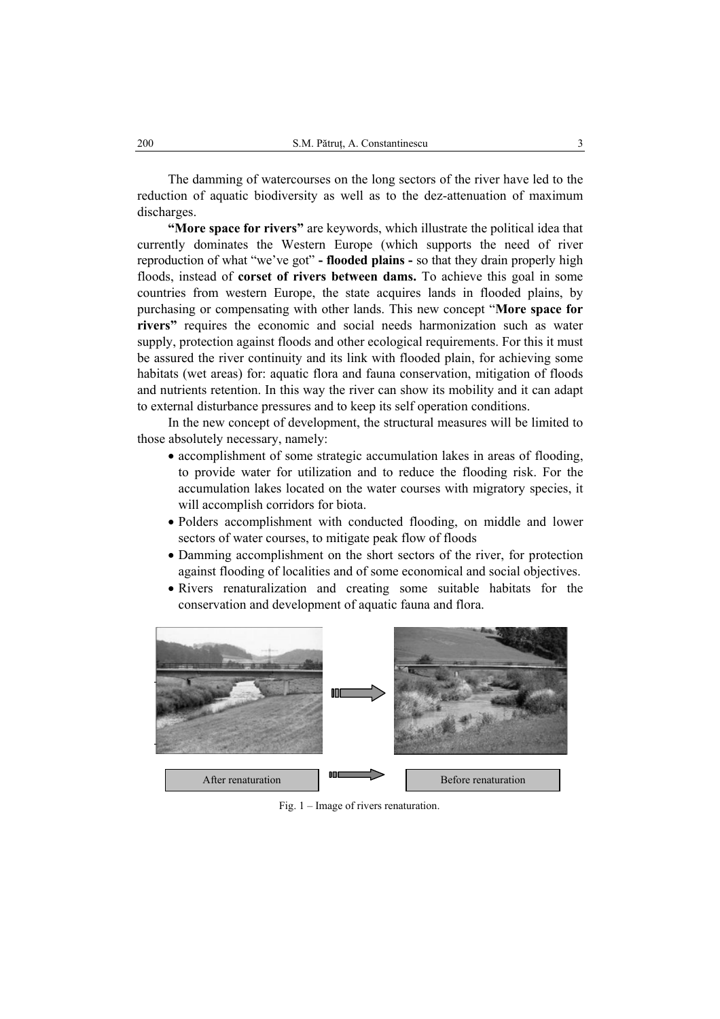The damming of watercourses on the long sectors of the river have led to the reduction of aquatic biodiversity as well as to the dez-attenuation of maximum discharges.

**"More space for rivers"** are keywords, which illustrate the political idea that currently dominates the Western Europe (which supports the need of river reproduction of what "we've got" **- flooded plains -** so that they drain properly high floods, instead of **corset of rivers between dams.** To achieve this goal in some countries from western Europe, the state acquires lands in flooded plains, by purchasing or compensating with other lands. This new concept "**More space for rivers**" requires the economic and social needs harmonization such as water supply, protection against floods and other ecological requirements. For this it must be assured the river continuity and its link with flooded plain, for achieving some habitats (wet areas) for: aquatic flora and fauna conservation, mitigation of floods and nutrients retention. In this way the river can show its mobility and it can adapt to external disturbance pressures and to keep its self operation conditions.

In the new concept of development, the structural measures will be limited to those absolutely necessary, namely:

- accomplishment of some strategic accumulation lakes in areas of flooding, to provide water for utilization and to reduce the flooding risk. For the accumulation lakes located on the water courses with migratory species, it will accomplish corridors for biota.
- Polders accomplishment with conducted flooding, on middle and lower sectors of water courses, to mitigate peak flow of floods
- Damming accomplishment on the short sectors of the river, for protection against flooding of localities and of some economical and social objectives.
- Rivers renaturalization and creating some suitable habitats for the conservation and development of aquatic fauna and flora.



Fig. 1 – Image of rivers renaturation.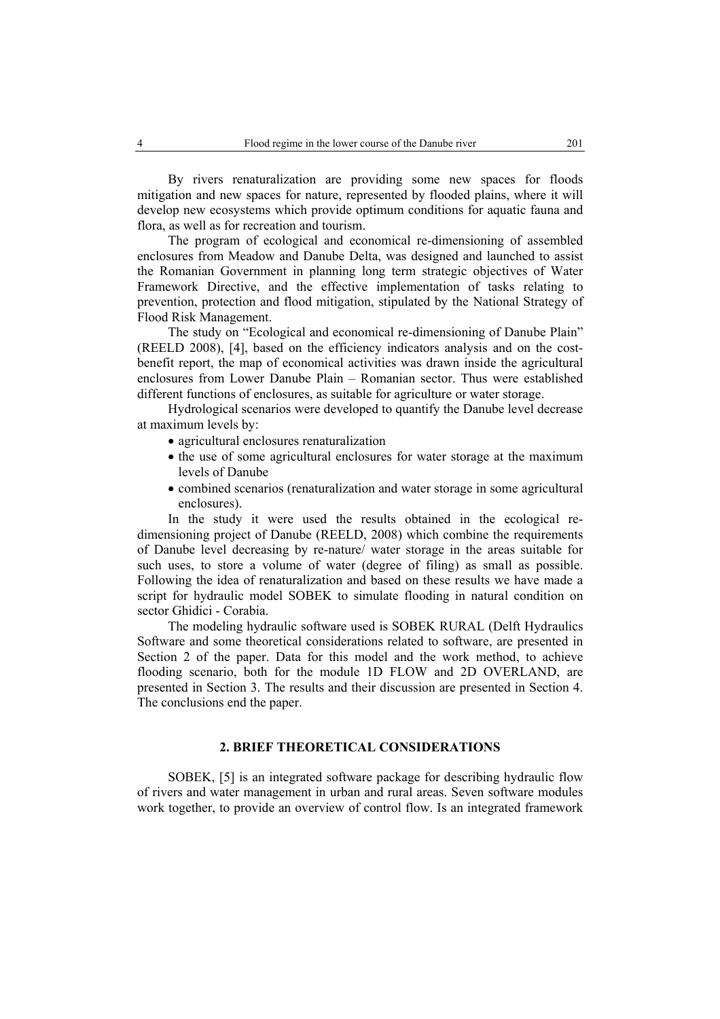By rivers renaturalization are providing some new spaces for floods mitigation and new spaces for nature, represented by flooded plains, where it will develop new ecosystems which provide optimum conditions for aquatic fauna and flora, as well as for recreation and tourism.

The program of ecological and economical re-dimensioning of assembled enclosures from Meadow and Danube Delta, was designed and launched to assist the Romanian Government in planning long term strategic objectives of Water Framework Directive, and the effective implementation of tasks relating to prevention, protection and flood mitigation, stipulated by the National Strategy of Flood Risk Management.

The study on "Ecological and economical re-dimensioning of Danube Plain" (REELD 2008), [4], based on the efficiency indicators analysis and on the costbenefit report, the map of economical activities was drawn inside the agricultural enclosures from Lower Danube Plain – Romanian sector. Thus were established different functions of enclosures, as suitable for agriculture or water storage.

Hydrological scenarios were developed to quantify the Danube level decrease at maximum levels by:

- agricultural enclosures renaturalization
- the use of some agricultural enclosures for water storage at the maximum levels of Danube
- combined scenarios (renaturalization and water storage in some agricultural enclosures).

In the study it were used the results obtained in the ecological redimensioning project of Danube (REELD, 2008) which combine the requirements of Danube level decreasing by re-nature/ water storage in the areas suitable for such uses, to store a volume of water (degree of filing) as small as possible. Following the idea of renaturalization and based on these results we have made a script for hydraulic model SOBEK to simulate flooding in natural condition on sector Ghidici - Corabia.

The modeling hydraulic software used is SOBEK RURAL (Delft Hydraulics Software and some theoretical considerations related to software, are presented in Section 2 of the paper. Data for this model and the work method, to achieve flooding scenario, both for the module 1D FLOW and 2D OVERLAND, are presented in Section 3. The results and their discussion are presented in Section 4. The conclusions end the paper.

# **2. BRIEF THEORETICAL CONSIDERATIONS**

SOBEK, [5] is an integrated software package for describing hydraulic flow of rivers and water management in urban and rural areas. Seven software modules work together, to provide an overview of control flow. Is an integrated framework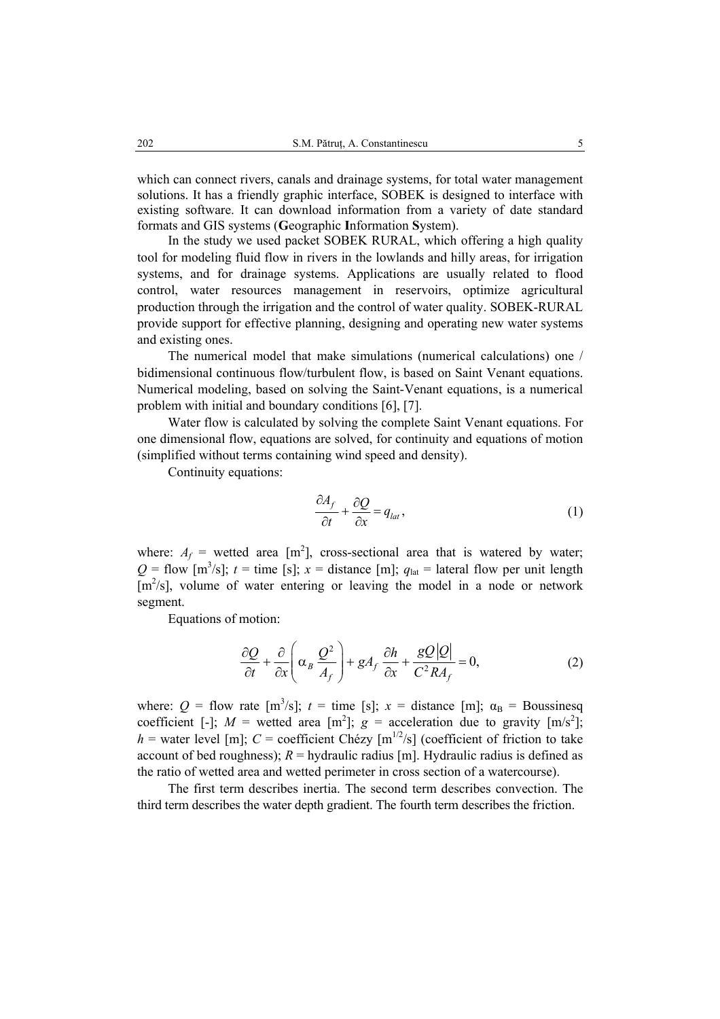which can connect rivers, canals and drainage systems, for total water management solutions. It has a friendly graphic interface, SOBEK is designed to interface with existing software. It can download information from a variety of date standard formats and GIS systems (**G**eographic **I**nformation **S**ystem).

In the study we used packet SOBEK RURAL, which offering a high quality tool for modeling fluid flow in rivers in the lowlands and hilly areas, for irrigation systems, and for drainage systems. Applications are usually related to flood control, water resources management in reservoirs, optimize agricultural production through the irrigation and the control of water quality. SOBEK-RURAL provide support for effective planning, designing and operating new water systems and existing ones.

The numerical model that make simulations (numerical calculations) one / bidimensional continuous flow/turbulent flow, is based on Saint Venant equations. Numerical modeling, based on solving the Saint-Venant equations, is a numerical problem with initial and boundary conditions [6], [7].

Water flow is calculated by solving the complete Saint Venant equations. For one dimensional flow, equations are solved, for continuity and equations of motion (simplified without terms containing wind speed and density).

Continuity equations:

$$
\frac{\partial A_f}{\partial t} + \frac{\partial Q}{\partial x} = q_{lat},\tag{1}
$$

where:  $A_f$  = wetted area [m<sup>2</sup>], cross-sectional area that is watered by water;  $Q =$  flow [m<sup>3</sup>/s];  $t =$  time [s];  $x =$  distance [m];  $q_{\text{lat}} =$  lateral flow per unit length  $[m^2/s]$ , volume of water entering or leaving the model in a node or network segment.

Equations of motion:

$$
\frac{\partial Q}{\partial t} + \frac{\partial}{\partial x} \left( \alpha_B \frac{Q^2}{A_f} \right) + gA_f \frac{\partial h}{\partial x} + \frac{gQ|Q|}{C^2 R A_f} = 0, \tag{2}
$$

where:  $Q =$  flow rate  $[m^3/s]$ ;  $t =$  time [s];  $x =$  distance [m];  $\alpha_B =$  Boussinesq coefficient [-];  $M =$  wetted area [m<sup>2</sup>];  $g =$  acceleration due to gravity [m/s<sup>2</sup>];  $h$  = water level [m];  $C$  = coefficient Chézy [m<sup>1/2</sup>/s] (coefficient of friction to take account of bed roughness);  $R =$  hydraulic radius [m]. Hydraulic radius is defined as the ratio of wetted area and wetted perimeter in cross section of a watercourse).

The first term describes inertia. The second term describes convection. The third term describes the water depth gradient. The fourth term describes the friction.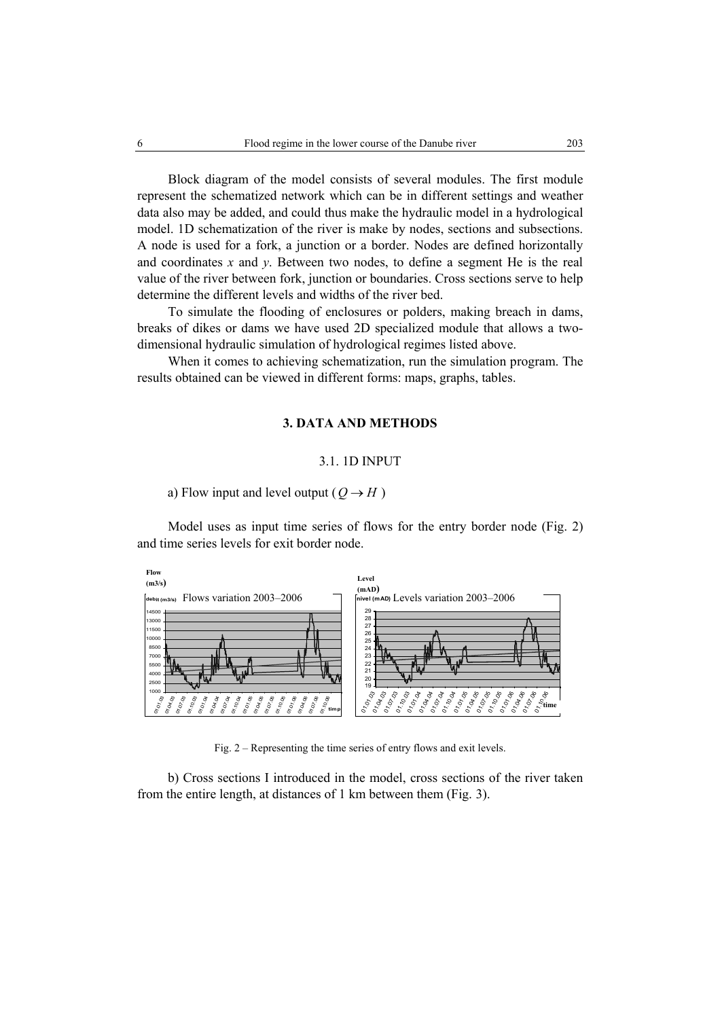Block diagram of the model consists of several modules. The first module represent the schematized network which can be in different settings and weather data also may be added, and could thus make the hydraulic model in a hydrological model. 1D schematization of the river is make by nodes, sections and subsections. A node is used for a fork, a junction or a border. Nodes are defined horizontally and coordinates *x* and *y*. Between two nodes, to define a segment He is the real value of the river between fork, junction or boundaries. Cross sections serve to help determine the different levels and widths of the river bed.

To simulate the flooding of enclosures or polders, making breach in dams, breaks of dikes or dams we have used 2D specialized module that allows a twodimensional hydraulic simulation of hydrological regimes listed above.

When it comes to achieving schematization, run the simulation program. The results obtained can be viewed in different forms: maps, graphs, tables.

# **3. DATA AND METHODS**

#### 3.1. 1D INPUT

a) Flow input and level output ( $Q \rightarrow H$ )

Model uses as input time series of flows for the entry border node (Fig. 2) and time series levels for exit border node.



Fig. 2 – Representing the time series of entry flows and exit levels.

b) Cross sections I introduced in the model, cross sections of the river taken from the entire length, at distances of 1 km between them (Fig. 3).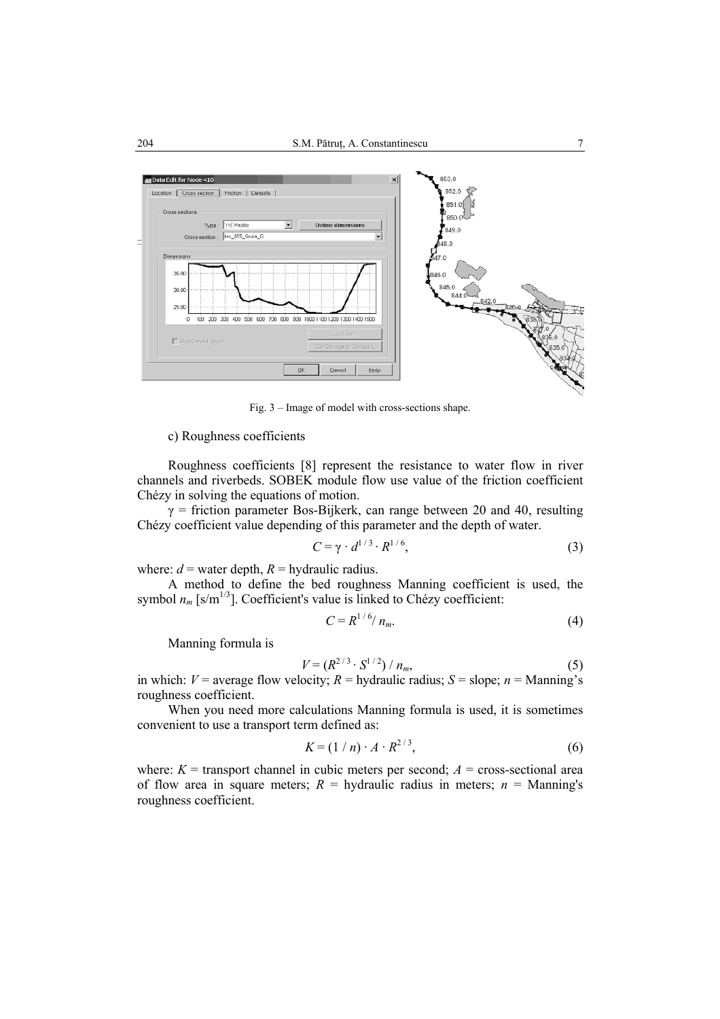

Fig. 3 – Image of model with cross-sections shape.

#### c) Roughness coefficients

Roughness coefficients [8] represent the resistance to water flow in river channels and riverbeds. SOBEK module flow use value of the friction coefficient Chézy in solving the equations of motion.

 $\gamma$  = friction parameter Bos-Bijkerk, can range between 20 and 40, resulting Chézy coefficient value depending of this parameter and the depth of water.

$$
C = \gamma \cdot d^{1/3} \cdot R^{1/6},\tag{3}
$$

where:  $d =$  water depth,  $R =$  hydraulic radius.

A method to define the bed roughness Manning coefficient is used, the symbol  $n_m$  [s/m<sup>1/3</sup>]. Coefficient's value is linked to Chézy coefficient:

$$
C = R^{1/6}/n_m.
$$
 (4)

Manning formula is

$$
V = (R^{2/3} \cdot S^{1/2}) / n_m,
$$
 (5)

in which:  $V =$  average flow velocity;  $R =$  hydraulic radius;  $S =$  slope;  $n =$  Manning's roughness coefficient.

When you need more calculations Manning formula is used, it is sometimes convenient to use a transport term defined as:

$$
K = (1/n) \cdot A \cdot R^{2/3},\tag{6}
$$

where:  $K =$  transport channel in cubic meters per second;  $A =$  cross-sectional area of flow area in square meters;  $R =$  hydraulic radius in meters;  $n =$  Manning's roughness coefficient.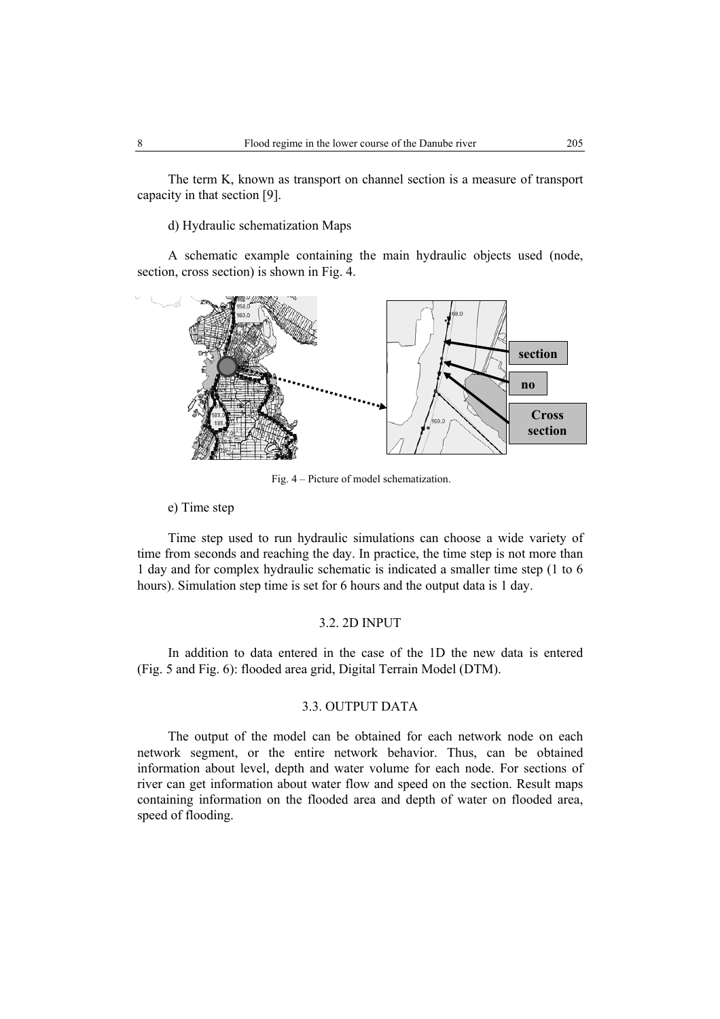The term K, known as transport on channel section is a measure of transport capacity in that section [9].

d) Hydraulic schematization Maps

A schematic example containing the main hydraulic objects used (node, section, cross section) is shown in Fig. 4.



Fig. 4 – Picture of model schematization.

### e) Time step

Time step used to run hydraulic simulations can choose a wide variety of time from seconds and reaching the day. In practice, the time step is not more than 1 day and for complex hydraulic schematic is indicated a smaller time step (1 to 6 hours). Simulation step time is set for 6 hours and the output data is 1 day.

# 3.2. 2D INPUT

In addition to data entered in the case of the 1D the new data is entered (Fig. 5 and Fig. 6): flooded area grid, Digital Terrain Model (DTM).

#### 3.3. OUTPUT DATA

The output of the model can be obtained for each network node on each network segment, or the entire network behavior. Thus, can be obtained information about level, depth and water volume for each node. For sections of river can get information about water flow and speed on the section. Result maps containing information on the flooded area and depth of water on flooded area, speed of flooding.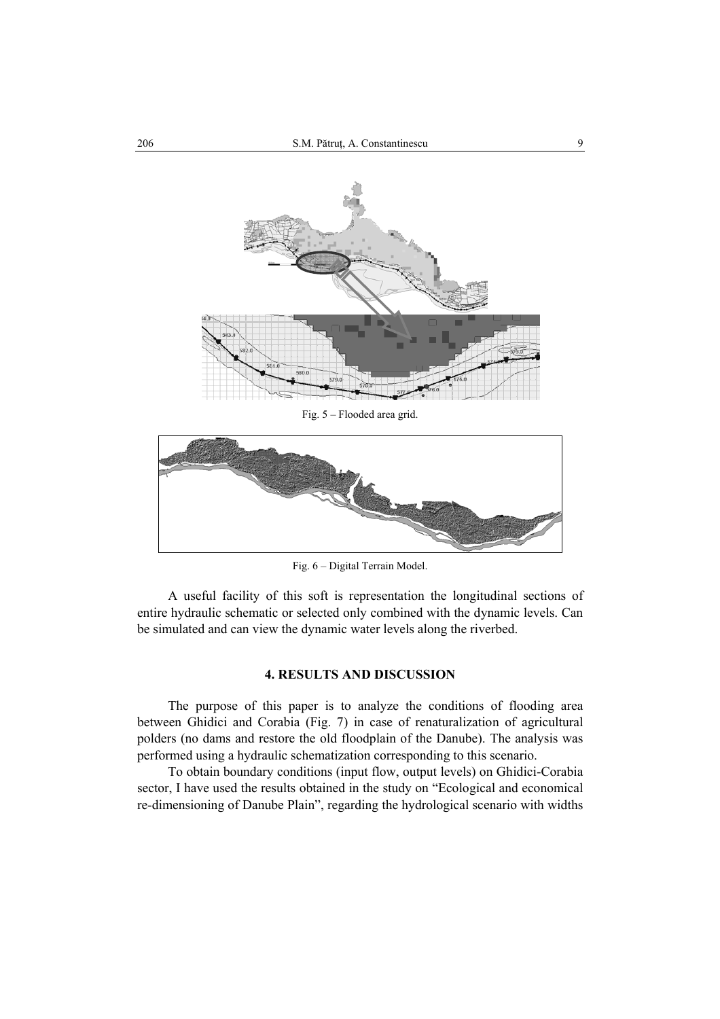

Fig. 5 – Flooded area grid.



Fig. 6 – Digital Terrain Model.

A useful facility of this soft is representation the longitudinal sections of entire hydraulic schematic or selected only combined with the dynamic levels. Can be simulated and can view the dynamic water levels along the riverbed.

# **4. RESULTS AND DISCUSSION**

The purpose of this paper is to analyze the conditions of flooding area between Ghidici and Corabia (Fig. 7) in case of renaturalization of agricultural polders (no dams and restore the old floodplain of the Danube). The analysis was performed using a hydraulic schematization corresponding to this scenario.

To obtain boundary conditions (input flow, output levels) on Ghidici-Corabia sector, I have used the results obtained in the study on "Ecological and economical re-dimensioning of Danube Plain", regarding the hydrological scenario with widths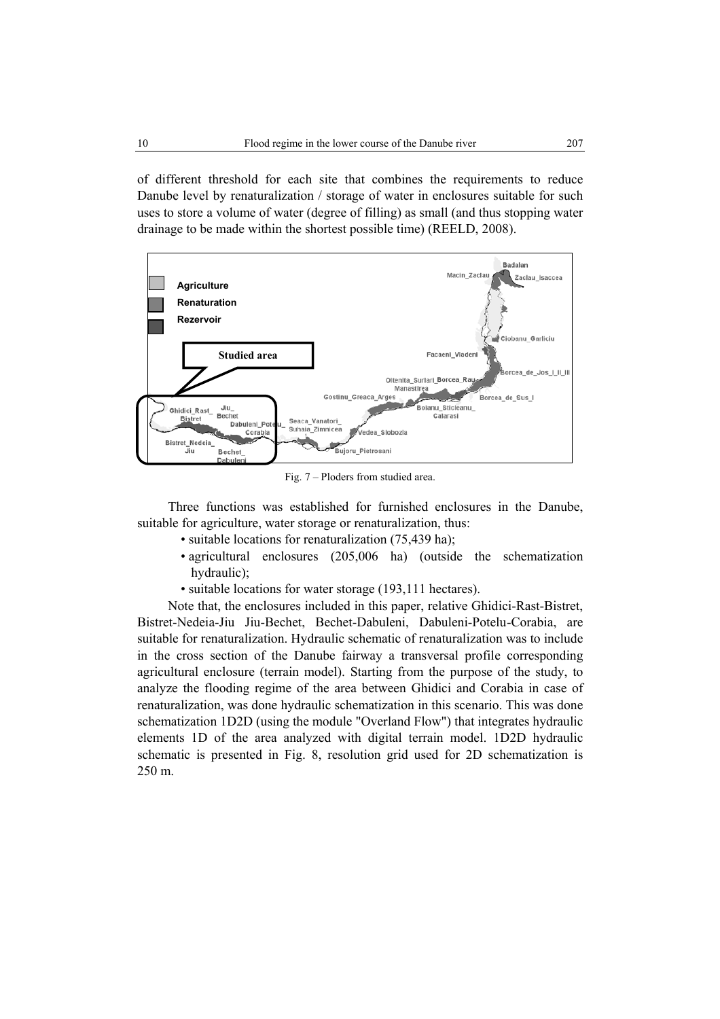of different threshold for each site that combines the requirements to reduce Danube level by renaturalization / storage of water in enclosures suitable for such uses to store a volume of water (degree of filling) as small (and thus stopping water drainage to be made within the shortest possible time) (REELD, 2008).



Fig. 7 – Ploders from studied area.

Three functions was established for furnished enclosures in the Danube, suitable for agriculture, water storage or renaturalization, thus:

- suitable locations for renaturalization (75,439 ha);
- agricultural enclosures (205,006 ha) (outside the schematization hydraulic);
- suitable locations for water storage (193,111 hectares).

Note that, the enclosures included in this paper, relative Ghidici-Rast-Bistret, Bistret-Nedeia-Jiu Jiu-Bechet, Bechet-Dabuleni, Dabuleni-Potelu-Corabia, are suitable for renaturalization. Hydraulic schematic of renaturalization was to include in the cross section of the Danube fairway a transversal profile corresponding agricultural enclosure (terrain model). Starting from the purpose of the study, to analyze the flooding regime of the area between Ghidici and Corabia in case of renaturalization, was done hydraulic schematization in this scenario. This was done schematization 1D2D (using the module "Overland Flow") that integrates hydraulic elements 1D of the area analyzed with digital terrain model. 1D2D hydraulic schematic is presented in Fig. 8, resolution grid used for 2D schematization is 250 m.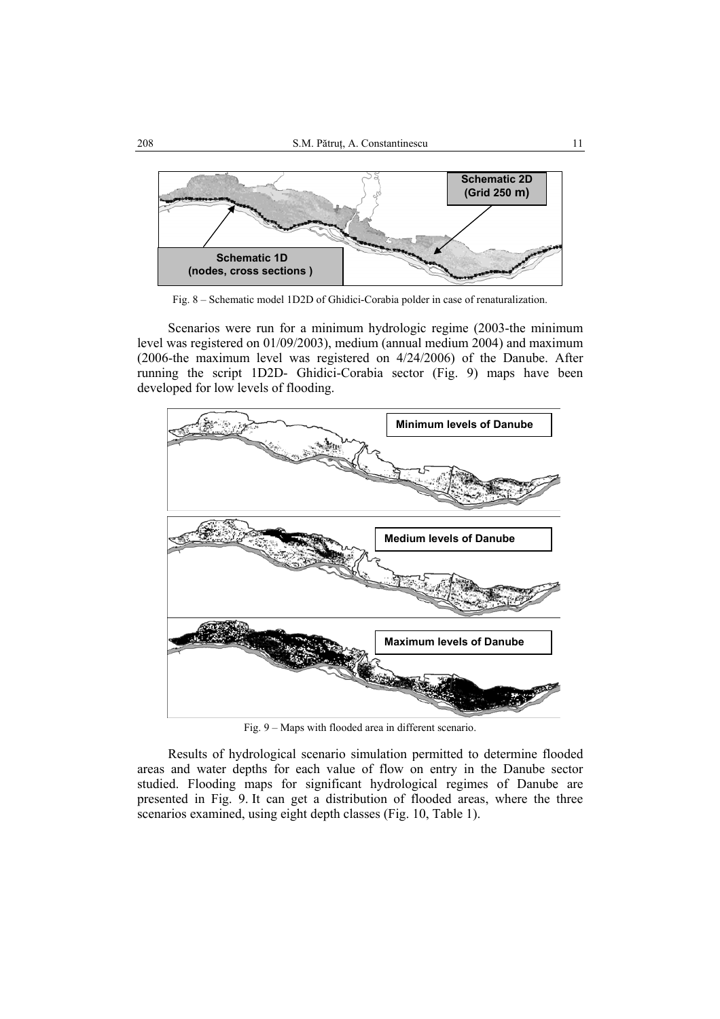

Fig. 8 – Schematic model 1D2D of Ghidici-Corabia polder in case of renaturalization.

Scenarios were run for a minimum hydrologic regime (2003-the minimum level was registered on 01/09/2003), medium (annual medium 2004) and maximum (2006-the maximum level was registered on 4/24/2006) of the Danube. After running the script 1D2D- Ghidici-Corabia sector (Fig. 9) maps have been developed for low levels of flooding.



Fig. 9 – Maps with flooded area in different scenario.

Results of hydrological scenario simulation permitted to determine flooded areas and water depths for each value of flow on entry in the Danube sector studied. Flooding maps for significant hydrological regimes of Danube are presented in Fig. 9. It can get a distribution of flooded areas, where the three scenarios examined, using eight depth classes (Fig. 10, Table 1).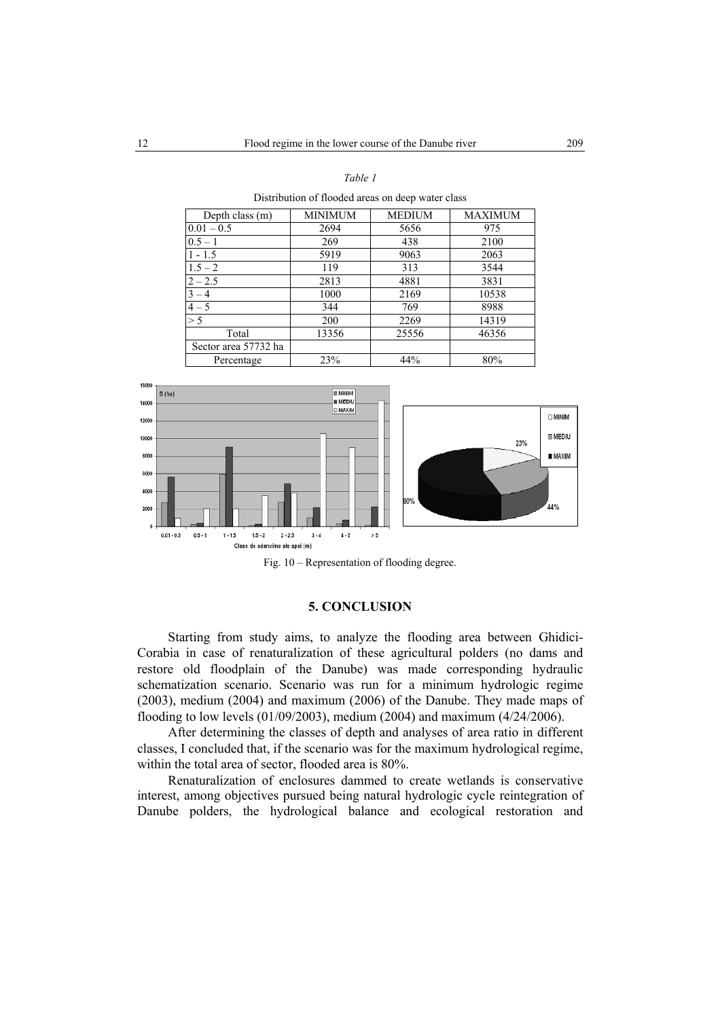#### *Table 1*

Distribution of flooded areas on deep water class

| Depth class $(m)$    | <b>MINIMUM</b> | <b>MEDIUM</b> | MAXIMUM |
|----------------------|----------------|---------------|---------|
| $0.01 - 0.5$         | 2694           | 5656          | 975     |
| $0.5 - 1$            | 269            | 438           | 2100    |
| $1 - 1.5$            | 5919           | 9063          | 2063    |
| $1.5 - 2$            | 119            | 313           | 3544    |
| $2 - 2.5$            | 2813           | 4881          | 3831    |
| $3 - 4$              | 1000           | 2169          | 10538   |
| $4 - 5$              | 344            | 769           | 8988    |
| > 5                  | 200            | 2269          | 14319   |
| Total                | 13356          | 25556         | 46356   |
| Sector area 57732 ha |                |               |         |
| Percentage           | 23%            | 44%           | 80%     |



Fig. 10 – Representation of flooding degree.

### **5. CONCLUSION**

Starting from study aims, to analyze the flooding area between Ghidici-Corabia in case of renaturalization of these agricultural polders (no dams and restore old floodplain of the Danube) was made corresponding hydraulic schematization scenario. Scenario was run for a minimum hydrologic regime (2003), medium (2004) and maximum (2006) of the Danube. They made maps of flooding to low levels (01/09/2003), medium (2004) and maximum (4/24/2006).

After determining the classes of depth and analyses of area ratio in different classes, I concluded that, if the scenario was for the maximum hydrological regime, within the total area of sector, flooded area is 80%.

Renaturalization of enclosures dammed to create wetlands is conservative interest, among objectives pursued being natural hydrologic cycle reintegration of Danube polders, the hydrological balance and ecological restoration and